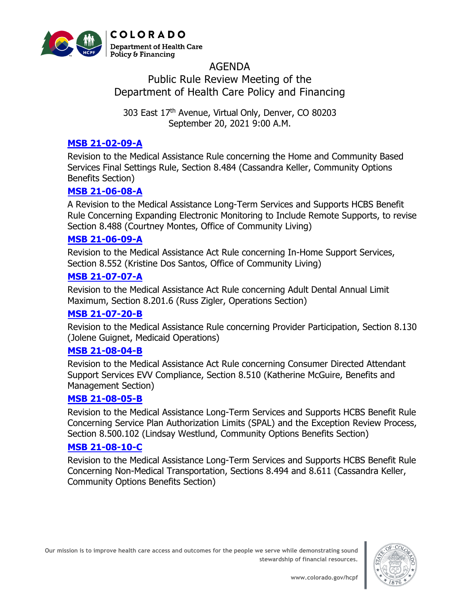

# AGENDA Public Rule Review Meeting of the Department of Health Care Policy and Financing

303 East 17<sup>th</sup> Avenue, Virtual Only, Denver, CO 80203 September 20, 2021 9:00 A.M.

### **[MSB 21-02-09-A](https://hcpf.colorado.gov/sites/hcpf/files/MSB%2021-02-09-A%20PRRM%20-%20Sep%202021.pdf)**

Revision to the Medical Assistance Rule concerning the Home and Community Based Services Final Settings Rule, Section 8.484 (Cassandra Keller, Community Options Benefits Section)

### **[MSB 21-06-08-A](https://hcpf.colorado.gov/sites/hcpf/files/MSB%2021-06-08-A%20PRRM%20-%20Sep%202021.pdf)**

A Revision to the Medical Assistance Long-Term Services and Supports HCBS Benefit Rule Concerning Expanding Electronic Monitoring to Include Remote Supports, to revise Section 8.488 (Courtney Montes, Office of Community Living)

#### **[MSB 21-06-09-A](https://hcpf.colorado.gov/sites/hcpf/files/MSB%2021-06-09-A%20PRRM%20-%20Sep%202021.pdf)**

Revision to the Medical Assistance Act Rule concerning In-Home Support Services, Section 8.552 (Kristine Dos Santos, Office of Community Living)

#### **[MSB 21-07-07-A](https://hcpf.colorado.gov/sites/hcpf/files/MSB%2021-07-07-A%20PRRM%20-%20Sep%202021.pdf)**

Revision to the Medical Assistance Act Rule concerning Adult Dental Annual Limit Maximum, Section 8.201.6 (Russ Zigler, Operations Section)

### **[MSB 21-07-20-B](https://hcpf.colorado.gov/sites/hcpf/files/MSB%2021-07-20-B%20PRRM%20-%20Sep%202021.pdf)**

Revision to the Medical Assistance Rule concerning Provider Participation, Section 8.130 (Jolene Guignet, Medicaid Operations)

#### **[MSB 21-08-04-B](https://hcpf.colorado.gov/sites/hcpf/files/MSB%2021-08-04-B%20PRRM%20-%20Sep%202021.pdf)**

Revision to the Medical Assistance Act Rule concerning Consumer Directed Attendant Support Services EVV Compliance, Section 8.510 (Katherine McGuire, Benefits and Management Section)

### **[MSB 21-08-05-B](https://hcpf.colorado.gov/sites/hcpf/files/MSB%2021-08-05-B%20PRRM%20-%20Sep%202021.pdf)**

Revision to the Medical Assistance Long-Term Services and Supports HCBS Benefit Rule Concerning Service Plan Authorization Limits (SPAL) and the Exception Review Process, Section 8.500.102 (Lindsay Westlund, Community Options Benefits Section)

## **[MSB 21-08-10-C](https://hcpf.colorado.gov/sites/hcpf/files/MSB%2021-08-10-C%20PRRM%20-%20Sep%202021.pdf)**

Revision to the Medical Assistance Long-Term Services and Supports HCBS Benefit Rule Concerning Non-Medical Transportation, Sections 8.494 and 8.611 (Cassandra Keller, Community Options Benefits Section)